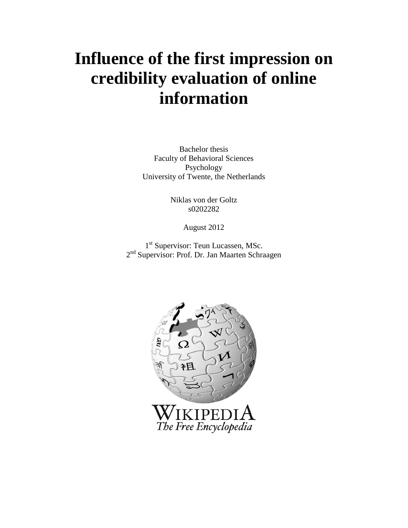# **Influence of the first impression on credibility evaluation of online information**

Bachelor thesis Faculty of Behavioral Sciences Psychology University of Twente, the Netherlands

> Niklas von der Goltz s0202282

> > August 2012

1<sup>st</sup> Supervisor: Teun Lucassen, MSc. 2<sup>nd</sup> Supervisor: Prof. Dr. Jan Maarten Schraagen

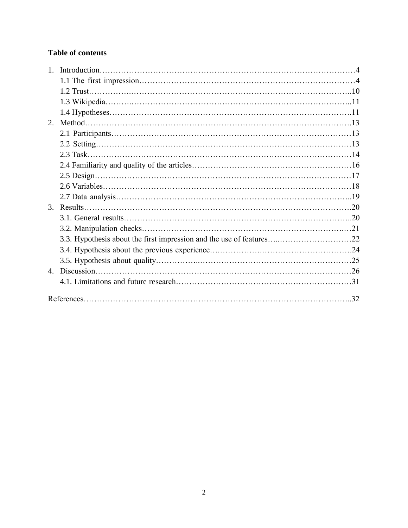# **Table of contents**

| 1 <sub>1</sub> |                                                                      |  |
|----------------|----------------------------------------------------------------------|--|
|                |                                                                      |  |
|                |                                                                      |  |
|                |                                                                      |  |
|                |                                                                      |  |
| 2.             |                                                                      |  |
|                |                                                                      |  |
|                |                                                                      |  |
|                |                                                                      |  |
|                |                                                                      |  |
|                |                                                                      |  |
|                |                                                                      |  |
|                |                                                                      |  |
| 3.             |                                                                      |  |
|                |                                                                      |  |
|                |                                                                      |  |
|                | 3.3. Hypothesis about the first impression and the use of features22 |  |
|                |                                                                      |  |
|                |                                                                      |  |
|                |                                                                      |  |
|                |                                                                      |  |
|                |                                                                      |  |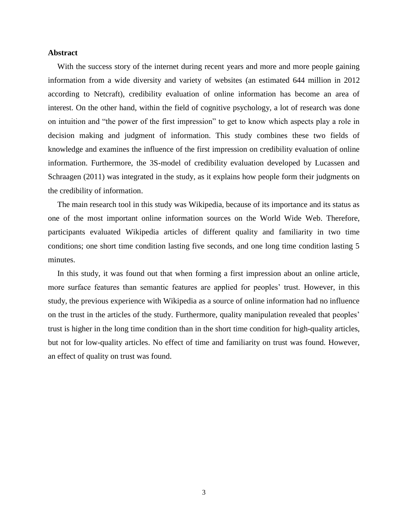#### **Abstract**

With the success story of the internet during recent years and more and more people gaining information from a wide diversity and variety of websites (an estimated 644 million in 2012 according to Netcraft), credibility evaluation of online information has become an area of interest. On the other hand, within the field of cognitive psychology, a lot of research was done on intuition and "the power of the first impression" to get to know which aspects play a role in decision making and judgment of information. This study combines these two fields of knowledge and examines the influence of the first impression on credibility evaluation of online information. Furthermore, the 3S-model of credibility evaluation developed by Lucassen and Schraagen (2011) was integrated in the study, as it explains how people form their judgments on the credibility of information.

The main research tool in this study was Wikipedia, because of its importance and its status as one of the most important online information sources on the World Wide Web. Therefore, participants evaluated Wikipedia articles of different quality and familiarity in two time conditions; one short time condition lasting five seconds, and one long time condition lasting 5 minutes.

In this study, it was found out that when forming a first impression about an online article, more surface features than semantic features are applied for peoples' trust. However, in this study, the previous experience with Wikipedia as a source of online information had no influence on the trust in the articles of the study. Furthermore, quality manipulation revealed that peoples' trust is higher in the long time condition than in the short time condition for high-quality articles, but not for low-quality articles. No effect of time and familiarity on trust was found. However, an effect of quality on trust was found.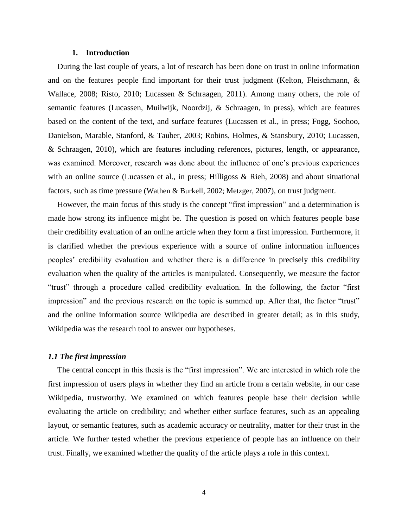#### **1. Introduction**

During the last couple of years, a lot of research has been done on trust in online information and on the features people find important for their trust judgment (Kelton, Fleischmann, & Wallace, 2008; Risto, 2010; Lucassen & Schraagen, 2011). Among many others, the role of semantic features (Lucassen, Muilwijk, Noordzij, & Schraagen, in press), which are features based on the content of the text, and surface features (Lucassen et al., in press; Fogg, Soohoo, Danielson, Marable, Stanford, & Tauber, 2003; Robins, Holmes, & Stansbury, 2010; Lucassen, & Schraagen, 2010), which are features including references, pictures, length, or appearance, was examined. Moreover, research was done about the influence of one's previous experiences with an online source (Lucassen et al., in press; Hilligoss & Rieh, 2008) and about situational factors, such as time pressure (Wathen & Burkell, 2002; Metzger, 2007), on trust judgment.

However, the main focus of this study is the concept "first impression" and a determination is made how strong its influence might be. The question is posed on which features people base their credibility evaluation of an online article when they form a first impression. Furthermore, it is clarified whether the previous experience with a source of online information influences peoples' credibility evaluation and whether there is a difference in precisely this credibility evaluation when the quality of the articles is manipulated. Consequently, we measure the factor "trust" through a procedure called credibility evaluation. In the following, the factor "first impression" and the previous research on the topic is summed up. After that, the factor "trust" and the online information source Wikipedia are described in greater detail; as in this study, Wikipedia was the research tool to answer our hypotheses.

## *1.1 The first impression*

The central concept in this thesis is the "first impression". We are interested in which role the first impression of users plays in whether they find an article from a certain website, in our case Wikipedia, trustworthy. We examined on which features people base their decision while evaluating the article on credibility; and whether either surface features, such as an appealing layout, or semantic features, such as academic accuracy or neutrality, matter for their trust in the article. We further tested whether the previous experience of people has an influence on their trust. Finally, we examined whether the quality of the article plays a role in this context.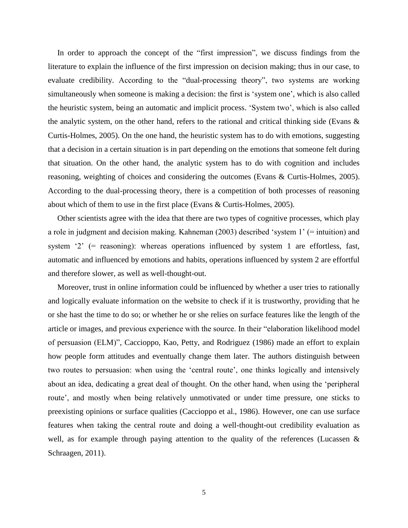In order to approach the concept of the "first impression", we discuss findings from the literature to explain the influence of the first impression on decision making; thus in our case, to evaluate credibility. According to the "dual-processing theory", two systems are working simultaneously when someone is making a decision: the first is 'system one', which is also called the heuristic system, being an automatic and implicit process. 'System two', which is also called the analytic system, on the other hand, refers to the rational and critical thinking side (Evans  $\&$ Curtis-Holmes, 2005). On the one hand, the heuristic system has to do with emotions, suggesting that a decision in a certain situation is in part depending on the emotions that someone felt during that situation. On the other hand, the analytic system has to do with cognition and includes reasoning, weighting of choices and considering the outcomes (Evans & Curtis-Holmes, 2005). According to the dual-processing theory, there is a competition of both processes of reasoning about which of them to use in the first place (Evans & Curtis-Holmes, 2005).

Other scientists agree with the idea that there are two types of cognitive processes, which play a role in judgment and decision making. Kahneman (2003) described 'system 1' (= intuition) and system '2' (= reasoning): whereas operations influenced by system 1 are effortless, fast, automatic and influenced by emotions and habits, operations influenced by system 2 are effortful and therefore slower, as well as well-thought-out.

Moreover, trust in online information could be influenced by whether a user tries to rationally and logically evaluate information on the website to check if it is trustworthy, providing that he or she hast the time to do so; or whether he or she relies on surface features like the length of the article or images, and previous experience with the source. In their "elaboration likelihood model of persuasion (ELM)", Caccioppo, Kao, Petty, and Rodriguez (1986) made an effort to explain how people form attitudes and eventually change them later. The authors distinguish between two routes to persuasion: when using the 'central route', one thinks logically and intensively about an idea, dedicating a great deal of thought. On the other hand, when using the 'peripheral route', and mostly when being relatively unmotivated or under time pressure, one sticks to preexisting opinions or surface qualities (Caccioppo et al., 1986). However, one can use surface features when taking the central route and doing a well-thought-out credibility evaluation as well, as for example through paying attention to the quality of the references (Lucassen & Schraagen, 2011).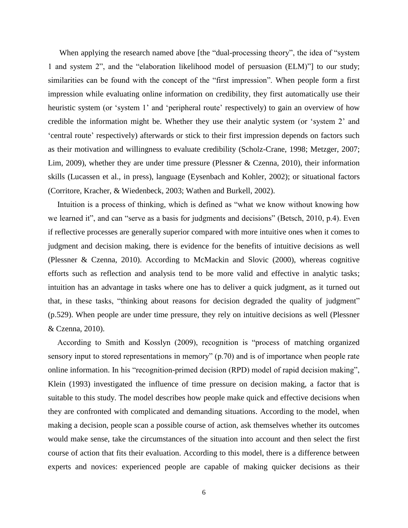When applying the research named above [the "dual-processing theory", the idea of "system" 1 and system 2", and the "elaboration likelihood model of persuasion (ELM)"] to our study; similarities can be found with the concept of the "first impression". When people form a first impression while evaluating online information on credibility, they first automatically use their heuristic system (or 'system 1' and 'peripheral route' respectively) to gain an overview of how credible the information might be. Whether they use their analytic system (or 'system 2' and 'central route' respectively) afterwards or stick to their first impression depends on factors such as their motivation and willingness to evaluate credibility (Scholz-Crane, 1998; Metzger, 2007; Lim, 2009), whether they are under time pressure (Plessner & Czenna, 2010), their information skills (Lucassen et al., in press), language (Eysenbach and Kohler, 2002); or situational factors (Corritore, Kracher, & Wiedenbeck, 2003; Wathen and Burkell, 2002).

Intuition is a process of thinking, which is defined as "what we know without knowing how we learned it", and can "serve as a basis for judgments and decisions" (Betsch, 2010, p.4). Even if reflective processes are generally superior compared with more intuitive ones when it comes to judgment and decision making, there is evidence for the benefits of intuitive decisions as well (Plessner & Czenna, 2010). According to McMackin and Slovic (2000), whereas cognitive efforts such as reflection and analysis tend to be more valid and effective in analytic tasks; intuition has an advantage in tasks where one has to deliver a quick judgment, as it turned out that, in these tasks, "thinking about reasons for decision degraded the quality of judgment" (p.529). When people are under time pressure, they rely on intuitive decisions as well (Plessner & Czenna, 2010).

According to Smith and Kosslyn (2009), recognition is "process of matching organized sensory input to stored representations in memory" (p.70) and is of importance when people rate online information. In his "recognition-primed decision (RPD) model of rapid decision making", Klein (1993) investigated the influence of time pressure on decision making, a factor that is suitable to this study. The model describes how people make quick and effective decisions when they are confronted with complicated and demanding situations. According to the model, when making a decision, people scan a possible course of action, ask themselves whether its outcomes would make sense, take the circumstances of the situation into account and then select the first course of action that fits their evaluation. According to this model, there is a difference between experts and novices: experienced people are capable of making quicker decisions as their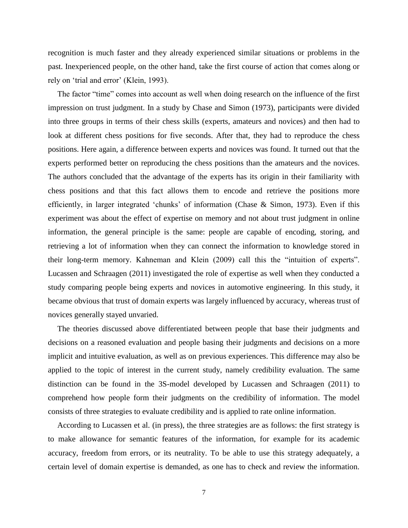recognition is much faster and they already experienced similar situations or problems in the past. Inexperienced people, on the other hand, take the first course of action that comes along or rely on 'trial and error' (Klein, 1993).

The factor "time" comes into account as well when doing research on the influence of the first impression on trust judgment. In a study by Chase and Simon (1973), participants were divided into three groups in terms of their chess skills (experts, amateurs and novices) and then had to look at different chess positions for five seconds. After that, they had to reproduce the chess positions. Here again, a difference between experts and novices was found. It turned out that the experts performed better on reproducing the chess positions than the amateurs and the novices. The authors concluded that the advantage of the experts has its origin in their familiarity with chess positions and that this fact allows them to encode and retrieve the positions more efficiently, in larger integrated 'chunks' of information (Chase & Simon, 1973). Even if this experiment was about the effect of expertise on memory and not about trust judgment in online information, the general principle is the same: people are capable of encoding, storing, and retrieving a lot of information when they can connect the information to knowledge stored in their long-term memory. Kahneman and Klein (2009) call this the "intuition of experts". Lucassen and Schraagen (2011) investigated the role of expertise as well when they conducted a study comparing people being experts and novices in automotive engineering. In this study, it became obvious that trust of domain experts was largely influenced by accuracy, whereas trust of novices generally stayed unvaried.

The theories discussed above differentiated between people that base their judgments and decisions on a reasoned evaluation and people basing their judgments and decisions on a more implicit and intuitive evaluation, as well as on previous experiences. This difference may also be applied to the topic of interest in the current study, namely credibility evaluation. The same distinction can be found in the 3S-model developed by Lucassen and Schraagen (2011) to comprehend how people form their judgments on the credibility of information. The model consists of three strategies to evaluate credibility and is applied to rate online information.

According to Lucassen et al. (in press), the three strategies are as follows: the first strategy is to make allowance for semantic features of the information, for example for its academic accuracy, freedom from errors, or its neutrality. To be able to use this strategy adequately, a certain level of domain expertise is demanded, as one has to check and review the information.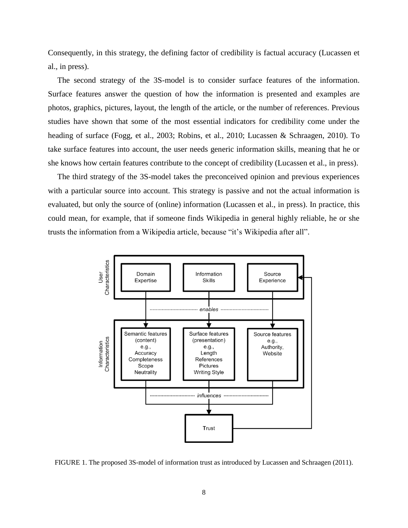Consequently, in this strategy, the defining factor of credibility is factual accuracy (Lucassen et al., in press).

The second strategy of the 3S-model is to consider surface features of the information. Surface features answer the question of how the information is presented and examples are photos, graphics, pictures, layout, the length of the article, or the number of references. Previous studies have shown that some of the most essential indicators for credibility come under the heading of surface (Fogg, et al., 2003; Robins, et al., 2010; Lucassen & Schraagen, 2010). To take surface features into account, the user needs generic information skills, meaning that he or she knows how certain features contribute to the concept of credibility (Lucassen et al., in press).

The third strategy of the 3S-model takes the preconceived opinion and previous experiences with a particular source into account. This strategy is passive and not the actual information is evaluated, but only the source of (online) information (Lucassen et al., in press). In practice, this could mean, for example, that if someone finds Wikipedia in general highly reliable, he or she trusts the information from a Wikipedia article, because "it's Wikipedia after all".



FIGURE 1. The proposed 3S-model of information trust as introduced by Lucassen and Schraagen (2011).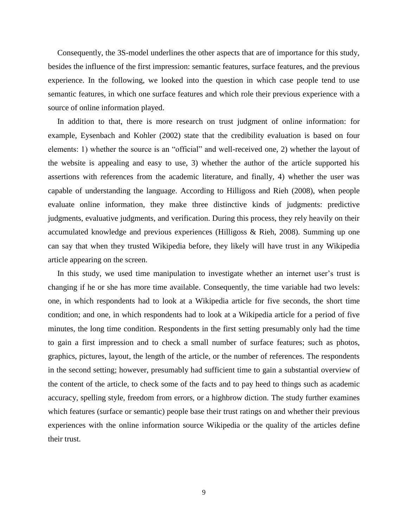Consequently, the 3S-model underlines the other aspects that are of importance for this study, besides the influence of the first impression: semantic features, surface features, and the previous experience. In the following, we looked into the question in which case people tend to use semantic features, in which one surface features and which role their previous experience with a source of online information played.

In addition to that, there is more research on trust judgment of online information: for example, Eysenbach and Kohler (2002) state that the credibility evaluation is based on four elements: 1) whether the source is an "official" and well-received one, 2) whether the layout of the website is appealing and easy to use, 3) whether the author of the article supported his assertions with references from the academic literature, and finally, 4) whether the user was capable of understanding the language. According to Hilligoss and Rieh (2008), when people evaluate online information, they make three distinctive kinds of judgments: predictive judgments, evaluative judgments, and verification. During this process, they rely heavily on their accumulated knowledge and previous experiences (Hilligoss & Rieh, 2008). Summing up one can say that when they trusted Wikipedia before, they likely will have trust in any Wikipedia article appearing on the screen.

In this study, we used time manipulation to investigate whether an internet user's trust is changing if he or she has more time available. Consequently, the time variable had two levels: one, in which respondents had to look at a Wikipedia article for five seconds, the short time condition; and one, in which respondents had to look at a Wikipedia article for a period of five minutes, the long time condition. Respondents in the first setting presumably only had the time to gain a first impression and to check a small number of surface features; such as photos, graphics, pictures, layout, the length of the article, or the number of references. The respondents in the second setting; however, presumably had sufficient time to gain a substantial overview of the content of the article, to check some of the facts and to pay heed to things such as academic accuracy, spelling style, freedom from errors, or a highbrow diction. The study further examines which features (surface or semantic) people base their trust ratings on and whether their previous experiences with the online information source Wikipedia or the quality of the articles define their trust.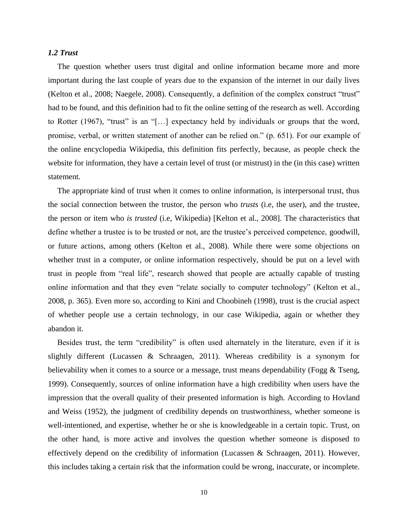### *1.2 Trust*

The question whether users trust digital and online information became more and more important during the last couple of years due to the expansion of the internet in our daily lives (Kelton et al., 2008; Naegele, 2008). Consequently, a definition of the complex construct "trust" had to be found, and this definition had to fit the online setting of the research as well. According to Rotter (1967), "trust" is an "[…] expectancy held by individuals or groups that the word, promise, verbal, or written statement of another can be relied on." (p. 651). For our example of the online encyclopedia Wikipedia, this definition fits perfectly, because, as people check the website for information, they have a certain level of trust (or mistrust) in the (in this case) written statement.

The appropriate kind of trust when it comes to online information, is interpersonal trust, thus the social connection between the trustor, the person who *trusts* (i.e, the user), and the trustee, the person or item who *is trusted* (i.e, Wikipedia) [Kelton et al., 2008]. The characteristics that define whether a trustee is to be trusted or not, are the trustee's perceived competence, goodwill, or future actions, among others (Kelton et al., 2008). While there were some objections on whether trust in a computer, or online information respectively, should be put on a level with trust in people from "real life", research showed that people are actually capable of trusting online information and that they even "relate socially to computer technology" (Kelton et al., 2008, p. 365). Even more so, according to Kini and Choobineh (1998), trust is the crucial aspect of whether people use a certain technology, in our case Wikipedia, again or whether they abandon it.

Besides trust, the term "credibility" is often used alternately in the literature, even if it is slightly different (Lucassen & Schraagen, 2011). Whereas credibility is a synonym for believability when it comes to a source or a message, trust means dependability (Fogg & Tseng, 1999). Consequently, sources of online information have a high credibility when users have the impression that the overall quality of their presented information is high. According to Hovland and Weiss (1952), the judgment of credibility depends on trustworthiness, whether someone is well-intentioned, and expertise, whether he or she is knowledgeable in a certain topic. Trust, on the other hand, is more active and involves the question whether someone is disposed to effectively depend on the credibility of information (Lucassen & Schraagen, 2011). However, this includes taking a certain risk that the information could be wrong, inaccurate, or incomplete.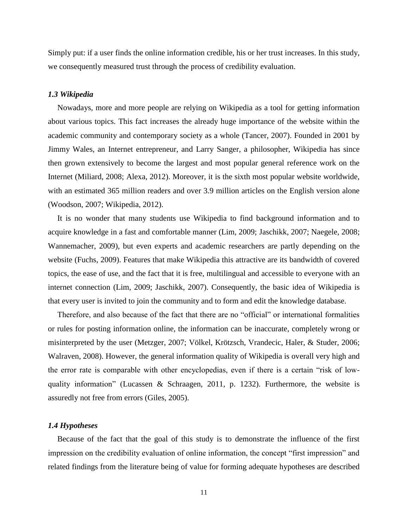Simply put: if a user finds the online information credible, his or her trust increases. In this study, we consequently measured trust through the process of credibility evaluation.

#### *1.3 Wikipedia*

Nowadays, more and more people are relying on Wikipedia as a tool for getting information about various topics. This fact increases the already huge importance of the website within the academic community and contemporary society as a whole (Tancer, 2007). Founded in 2001 by Jimmy Wales, an Internet entrepreneur, and Larry Sanger, a philosopher, Wikipedia has since then grown extensively to become the largest and most popular general reference work on the Internet (Miliard, 2008; Alexa, 2012). Moreover, it is the sixth most popular website worldwide, with an estimated 365 million readers and over 3.9 million articles on the English version alone (Woodson, 2007; Wikipedia, 2012).

It is no wonder that many students use Wikipedia to find background information and to acquire knowledge in a fast and comfortable manner (Lim, 2009; Jaschikk, 2007; Naegele, 2008; Wannemacher, 2009), but even experts and academic researchers are partly depending on the website (Fuchs, 2009). Features that make Wikipedia this attractive are its bandwidth of covered topics, the ease of use, and the fact that it is free, multilingual and accessible to everyone with an internet connection (Lim, 2009; Jaschikk, 2007). Consequently, the basic idea of Wikipedia is that every user is invited to join the community and to form and edit the knowledge database.

Therefore, and also because of the fact that there are no "official" or international formalities or rules for posting information online, the information can be inaccurate, completely wrong or misinterpreted by the user (Metzger, 2007; Völkel, Krötzsch, Vrandecic, Haler, & Studer, 2006; Walraven, 2008). However, the general information quality of Wikipedia is overall very high and the error rate is comparable with other encyclopedias, even if there is a certain "risk of lowquality information" (Lucassen & Schraagen, 2011, p. 1232). Furthermore, the website is assuredly not free from errors (Giles, 2005).

#### *1.4 Hypotheses*

Because of the fact that the goal of this study is to demonstrate the influence of the first impression on the credibility evaluation of online information, the concept "first impression" and related findings from the literature being of value for forming adequate hypotheses are described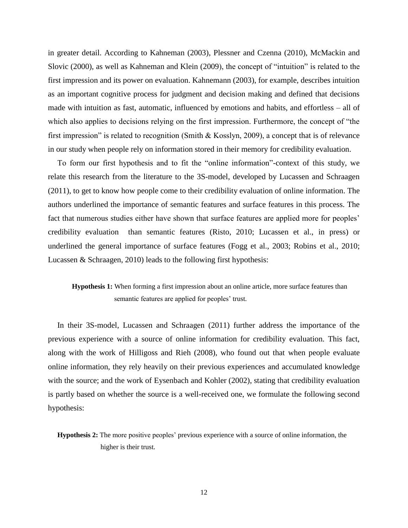in greater detail. According to Kahneman (2003), Plessner and Czenna (2010), McMackin and Slovic (2000), as well as Kahneman and Klein (2009), the concept of "intuition" is related to the first impression and its power on evaluation. Kahnemann (2003), for example, describes intuition as an important cognitive process for judgment and decision making and defined that decisions made with intuition as fast, automatic, influenced by emotions and habits, and effortless – all of which also applies to decisions relying on the first impression. Furthermore, the concept of "the first impression" is related to recognition (Smith & Kosslyn, 2009), a concept that is of relevance in our study when people rely on information stored in their memory for credibility evaluation.

To form our first hypothesis and to fit the "online information"-context of this study, we relate this research from the literature to the 3S-model, developed by Lucassen and Schraagen (2011), to get to know how people come to their credibility evaluation of online information. The authors underlined the importance of semantic features and surface features in this process. The fact that numerous studies either have shown that surface features are applied more for peoples' credibility evaluation than semantic features (Risto, 2010; Lucassen et al., in press) or underlined the general importance of surface features (Fogg et al., 2003; Robins et al., 2010; Lucassen & Schraagen, 2010) leads to the following first hypothesis:

# **Hypothesis 1:** When forming a first impression about an online article, more surface features than semantic features are applied for peoples' trust.

In their 3S-model, Lucassen and Schraagen (2011) further address the importance of the previous experience with a source of online information for credibility evaluation. This fact, along with the work of Hilligoss and Rieh (2008), who found out that when people evaluate online information, they rely heavily on their previous experiences and accumulated knowledge with the source; and the work of Eysenbach and Kohler (2002), stating that credibility evaluation is partly based on whether the source is a well-received one, we formulate the following second hypothesis:

**Hypothesis 2:** The more positive peoples' previous experience with a source of online information, the higher is their trust.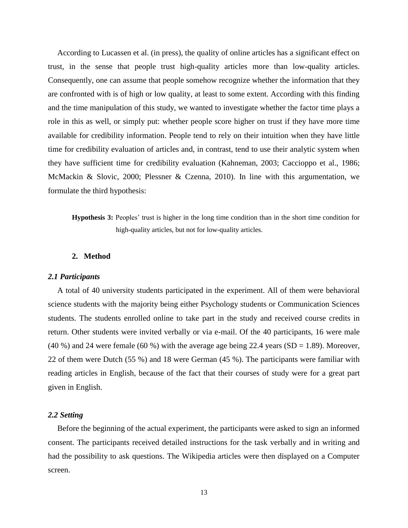According to Lucassen et al. (in press), the quality of online articles has a significant effect on trust, in the sense that people trust high-quality articles more than low-quality articles. Consequently, one can assume that people somehow recognize whether the information that they are confronted with is of high or low quality, at least to some extent. According with this finding and the time manipulation of this study, we wanted to investigate whether the factor time plays a role in this as well, or simply put: whether people score higher on trust if they have more time available for credibility information. People tend to rely on their intuition when they have little time for credibility evaluation of articles and, in contrast, tend to use their analytic system when they have sufficient time for credibility evaluation (Kahneman, 2003; Caccioppo et al., 1986; McMackin & Slovic, 2000; Plessner & Czenna, 2010). In line with this argumentation, we formulate the third hypothesis:

**Hypothesis 3:** Peoples' trust is higher in the long time condition than in the short time condition for high-quality articles, but not for low-quality articles.

#### **2. Method**

#### *2.1 Participants*

A total of 40 university students participated in the experiment. All of them were behavioral science students with the majority being either Psychology students or Communication Sciences students. The students enrolled online to take part in the study and received course credits in return. Other students were invited verbally or via e-mail. Of the 40 participants, 16 were male (40 %) and 24 were female (60 %) with the average age being 22.4 years (SD = 1.89). Moreover, 22 of them were Dutch (55 %) and 18 were German (45 %). The participants were familiar with reading articles in English, because of the fact that their courses of study were for a great part given in English.

#### *2.2 Setting*

Before the beginning of the actual experiment, the participants were asked to sign an informed consent. The participants received detailed instructions for the task verbally and in writing and had the possibility to ask questions. The Wikipedia articles were then displayed on a Computer screen.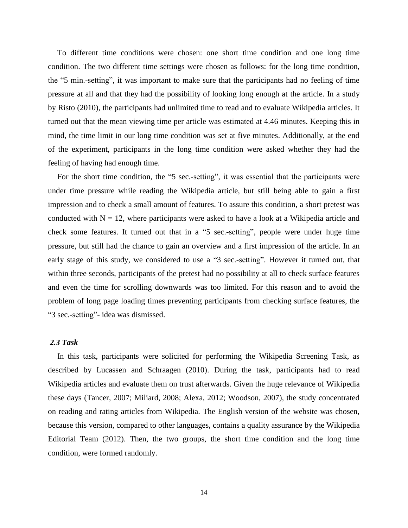To different time conditions were chosen: one short time condition and one long time condition. The two different time settings were chosen as follows: for the long time condition, the "5 min.-setting", it was important to make sure that the participants had no feeling of time pressure at all and that they had the possibility of looking long enough at the article. In a study by Risto (2010), the participants had unlimited time to read and to evaluate Wikipedia articles. It turned out that the mean viewing time per article was estimated at 4.46 minutes. Keeping this in mind, the time limit in our long time condition was set at five minutes. Additionally, at the end of the experiment, participants in the long time condition were asked whether they had the feeling of having had enough time.

For the short time condition, the "5 sec.-setting", it was essential that the participants were under time pressure while reading the Wikipedia article, but still being able to gain a first impression and to check a small amount of features. To assure this condition, a short pretest was conducted with  $N = 12$ , where participants were asked to have a look at a Wikipedia article and check some features. It turned out that in a "5 sec.-setting", people were under huge time pressure, but still had the chance to gain an overview and a first impression of the article. In an early stage of this study, we considered to use a "3 sec.-setting". However it turned out, that within three seconds, participants of the pretest had no possibility at all to check surface features and even the time for scrolling downwards was too limited. For this reason and to avoid the problem of long page loading times preventing participants from checking surface features, the "3 sec.-setting"- idea was dismissed.

# *2.3 Task*

In this task, participants were solicited for performing the Wikipedia Screening Task, as described by Lucassen and Schraagen (2010). During the task, participants had to read Wikipedia articles and evaluate them on trust afterwards. Given the huge relevance of Wikipedia these days (Tancer, 2007; Miliard, 2008; Alexa, 2012; Woodson, 2007), the study concentrated on reading and rating articles from Wikipedia. The English version of the website was chosen, because this version, compared to other languages, contains a quality assurance by the Wikipedia Editorial Team (2012). Then, the two groups, the short time condition and the long time condition, were formed randomly.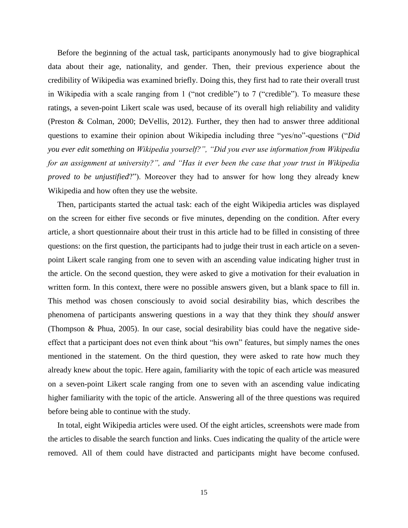Before the beginning of the actual task, participants anonymously had to give biographical data about their age, nationality, and gender. Then, their previous experience about the credibility of Wikipedia was examined briefly. Doing this, they first had to rate their overall trust in Wikipedia with a scale ranging from 1 ("not credible") to 7 ("credible"). To measure these ratings, a seven-point Likert scale was used, because of its overall high reliability and validity (Preston & Colman, 2000; DeVellis, 2012). Further, they then had to answer three additional questions to examine their opinion about Wikipedia including three "yes/no"-questions ("*Did you ever edit something on Wikipedia yourself?", "Did you ever use information from Wikipedia for an assignment at university?", and "Has it ever been the case that your trust in Wikipedia proved to be unjustified*?"). Moreover they had to answer for how long they already knew Wikipedia and how often they use the website.

Then, participants started the actual task: each of the eight Wikipedia articles was displayed on the screen for either five seconds or five minutes, depending on the condition. After every article, a short questionnaire about their trust in this article had to be filled in consisting of three questions: on the first question, the participants had to judge their trust in each article on a sevenpoint Likert scale ranging from one to seven with an ascending value indicating higher trust in the article. On the second question, they were asked to give a motivation for their evaluation in written form. In this context, there were no possible answers given, but a blank space to fill in. This method was chosen consciously to avoid social desirability bias, which describes the phenomena of participants answering questions in a way that they think they *should* answer (Thompson & Phua, 2005). In our case, social desirability bias could have the negative sideeffect that a participant does not even think about "his own" features, but simply names the ones mentioned in the statement. On the third question, they were asked to rate how much they already knew about the topic. Here again, familiarity with the topic of each article was measured on a seven-point Likert scale ranging from one to seven with an ascending value indicating higher familiarity with the topic of the article. Answering all of the three questions was required before being able to continue with the study.

In total, eight Wikipedia articles were used. Of the eight articles, screenshots were made from the articles to disable the search function and links. Cues indicating the quality of the article were removed. All of them could have distracted and participants might have become confused.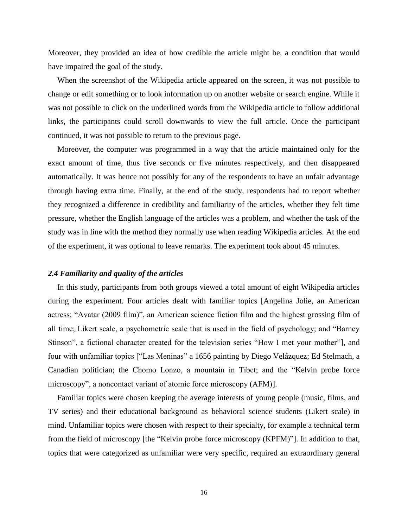Moreover, they provided an idea of how credible the article might be, a condition that would have impaired the goal of the study.

When the screenshot of the Wikipedia article appeared on the screen, it was not possible to change or edit something or to look information up on another website or search engine. While it was not possible to click on the underlined words from the Wikipedia article to follow additional links, the participants could scroll downwards to view the full article. Once the participant continued, it was not possible to return to the previous page.

Moreover, the computer was programmed in a way that the article maintained only for the exact amount of time, thus five seconds or five minutes respectively, and then disappeared automatically. It was hence not possibly for any of the respondents to have an unfair advantage through having extra time. Finally, at the end of the study, respondents had to report whether they recognized a difference in credibility and familiarity of the articles, whether they felt time pressure, whether the English language of the articles was a problem, and whether the task of the study was in line with the method they normally use when reading Wikipedia articles. At the end of the experiment, it was optional to leave remarks. The experiment took about 45 minutes.

#### *2.4 Familiarity and quality of the articles*

In this study, participants from both groups viewed a total amount of eight Wikipedia articles during the experiment. Four articles dealt with familiar topics [Angelina Jolie, an American actress; "Avatar (2009 film)", an American science fiction film and the highest grossing film of all time; Likert scale, a psychometric scale that is used in the field of psychology; and "Barney Stinson", a fictional character created for the television series "How I met your mother"], and four with unfamiliar topics ["Las Meninas" a 1656 painting by Diego Velázquez; Ed Stelmach, a Canadian politician; the Chomo Lonzo, a mountain in Tibet; and the "Kelvin probe force microscopy", a noncontact variant of atomic force microscopy (AFM)].

Familiar topics were chosen keeping the average interests of young people (music, films, and TV series) and their educational background as behavioral science students (Likert scale) in mind. Unfamiliar topics were chosen with respect to their specialty, for example a technical term from the field of microscopy [the "Kelvin probe force microscopy (KPFM)"]. In addition to that, topics that were categorized as unfamiliar were very specific, required an extraordinary general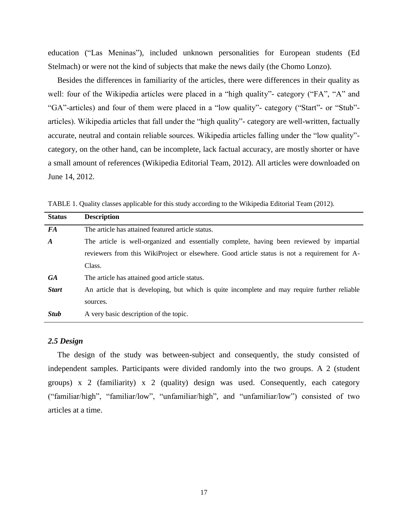education ("Las Meninas"), included unknown personalities for European students (Ed Stelmach) or were not the kind of subjects that make the news daily (the Chomo Lonzo).

Besides the differences in familiarity of the articles, there were differences in their quality as well: four of the Wikipedia articles were placed in a "high quality"- category ("FA", "A" and "GA"-articles) and four of them were placed in a "low quality"- category ("Start"- or "Stub" articles). Wikipedia articles that fall under the "high quality"- category are well-written, factually accurate, neutral and contain reliable sources. Wikipedia articles falling under the "low quality" category, on the other hand, can be incomplete, lack factual accuracy, are mostly shorter or have a small amount of references (Wikipedia Editorial Team, 2012). All articles were downloaded on June 14, 2012.

| The article has attained featured article status.                                             |  |  |  |
|-----------------------------------------------------------------------------------------------|--|--|--|
| The article is well-organized and essentially complete, having been reviewed by impartial     |  |  |  |
| reviewers from this WikiProject or elsewhere. Good article status is not a requirement for A- |  |  |  |
|                                                                                               |  |  |  |
|                                                                                               |  |  |  |
| An article that is developing, but which is quite incomplete and may require further reliable |  |  |  |
|                                                                                               |  |  |  |
|                                                                                               |  |  |  |
|                                                                                               |  |  |  |

TABLE 1. Quality classes applicable for this study according to the Wikipedia Editorial Team (2012).

#### *2.5 Design*

The design of the study was between-subject and consequently, the study consisted of independent samples. Participants were divided randomly into the two groups. A 2 (student groups) x 2 (familiarity) x 2 (quality) design was used. Consequently, each category ("familiar/high", "familiar/low", "unfamiliar/high", and "unfamiliar/low") consisted of two articles at a time.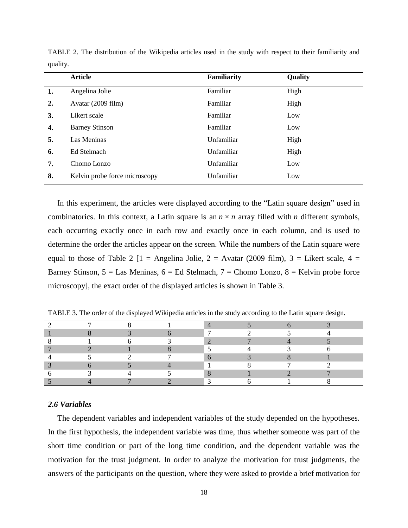|    | <b>Article</b>                | <b>Familiarity</b> | Quality |
|----|-------------------------------|--------------------|---------|
| 1. | Angelina Jolie                | Familiar           | High    |
| 2. | Avatar (2009 film)            | Familiar           | High    |
| 3. | Likert scale                  | Familiar           | Low     |
| 4. | <b>Barney Stinson</b>         | Familiar           | Low     |
| 5. | Las Meninas                   | Unfamiliar         | High    |
| 6. | Ed Stelmach                   | Unfamiliar         | High    |
| 7. | Chomo Lonzo                   | Unfamiliar         | Low     |
| 8. | Kelvin probe force microscopy | Unfamiliar         | Low     |
|    |                               |                    |         |

TABLE 2. The distribution of the Wikipedia articles used in the study with respect to their familiarity and quality.

In this experiment, the articles were displayed according to the "Latin square design" used in combinatorics. In this context, a Latin square is an  $n \times n$  array filled with *n* different symbols, each occurring exactly once in each row and exactly once in each column, and is used to determine the order the articles appear on the screen. While the numbers of the Latin square were equal to those of Table 2  $[1 =$  Angelina Jolie, 2 = Avatar (2009 film), 3 = Likert scale, 4 = Barney Stinson,  $5 =$  Las Meninas,  $6 =$  Ed Stelmach,  $7 =$  Chomo Lonzo,  $8 =$  Kelvin probe force microscopy], the exact order of the displayed articles is shown in Table 3.

TABLE 3. The order of the displayed Wikipedia articles in the study according to the Latin square design.

## *2.6 Variables*

The dependent variables and independent variables of the study depended on the hypotheses. In the first hypothesis, the independent variable was time, thus whether someone was part of the short time condition or part of the long time condition, and the dependent variable was the motivation for the trust judgment. In order to analyze the motivation for trust judgments, the answers of the participants on the question, where they were asked to provide a brief motivation for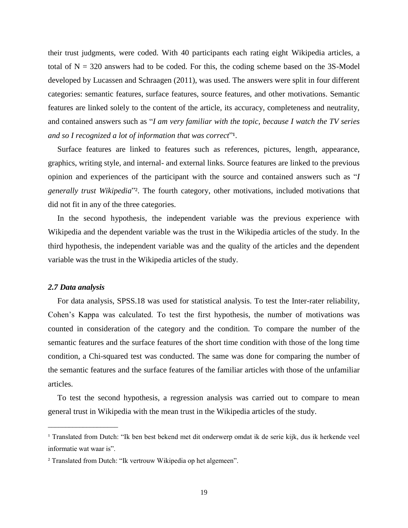their trust judgments, were coded. With 40 participants each rating eight Wikipedia articles, a total of  $N = 320$  answers had to be coded. For this, the coding scheme based on the 3S-Model developed by Lucassen and Schraagen (2011), was used. The answers were split in four different categories: semantic features, surface features, source features, and other motivations. Semantic features are linked solely to the content of the article, its accuracy, completeness and neutrality, and contained answers such as "*I am very familiar with the topic, because I watch the TV series and so I recognized a lot of information that was correct*<sup>"1</sup>.

Surface features are linked to features such as references, pictures, length, appearance, graphics, writing style, and internal- and external links. Source features are linked to the previous opinion and experiences of the participant with the source and contained answers such as "*I generally trust Wikipedia*"². The fourth category, other motivations, included motivations that did not fit in any of the three categories.

In the second hypothesis, the independent variable was the previous experience with Wikipedia and the dependent variable was the trust in the Wikipedia articles of the study. In the third hypothesis, the independent variable was and the quality of the articles and the dependent variable was the trust in the Wikipedia articles of the study.

#### *2.7 Data analysis*

\_\_\_\_\_\_\_\_\_\_\_\_\_\_\_\_\_\_\_\_

For data analysis, SPSS.18 was used for statistical analysis. To test the Inter-rater reliability, Cohen's Kappa was calculated. To test the first hypothesis, the number of motivations was counted in consideration of the category and the condition. To compare the number of the semantic features and the surface features of the short time condition with those of the long time condition, a Chi-squared test was conducted. The same was done for comparing the number of the semantic features and the surface features of the familiar articles with those of the unfamiliar articles.

To test the second hypothesis, a regression analysis was carried out to compare to mean general trust in Wikipedia with the mean trust in the Wikipedia articles of the study.

<sup>&</sup>lt;sup>1</sup> Translated from Dutch: "Ik ben best bekend met dit onderwerp omdat ik de serie kijk, dus ik herkende veel informatie wat waar is".

² Translated from Dutch: "Ik vertrouw Wikipedia op het algemeen".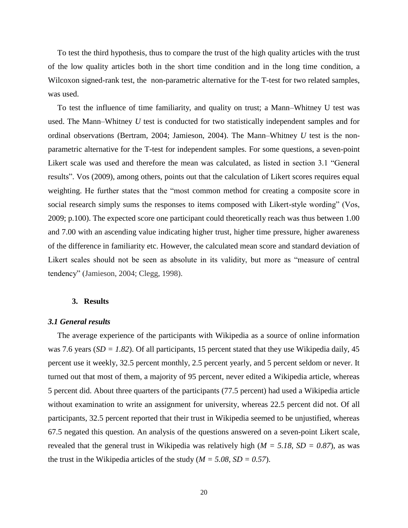To test the third hypothesis, thus to compare the trust of the high quality articles with the trust of the low quality articles both in the short time condition and in the long time condition, a Wilcoxon signed-rank test, the non-parametric alternative for the T-test for two related samples, was used.

To test the influence of time familiarity, and quality on trust; a Mann–Whitney U test was used. The Mann–Whitney *U* test is conducted for two statistically independent samples and for ordinal observations (Bertram, 2004; Jamieson, 2004). The Mann–Whitney *U* test is the nonparametric alternative for the T-test for independent samples. For some questions, a seven-point Likert scale was used and therefore the mean was calculated, as listed in section 3.1 "General results". Vos (2009), among others, points out that the calculation of Likert scores requires equal weighting. He further states that the "most common method for creating a composite score in social research simply sums the responses to items composed with Likert-style wording" (Vos, 2009; p.100). The expected score one participant could theoretically reach was thus between 1.00 and 7.00 with an ascending value indicating higher trust, higher time pressure, higher awareness of the difference in familiarity etc. However, the calculated mean score and standard deviation of Likert scales should not be seen as absolute in its validity, but more as "measure of central tendency" (Jamieson, 2004; Clegg, 1998).

#### **3. Results**

#### *3.1 General results*

The average experience of the participants with Wikipedia as a source of online information was 7.6 years ( $SD = 1.82$ ). Of all participants, 15 percent stated that they use Wikipedia daily, 45 percent use it weekly, 32.5 percent monthly, 2.5 percent yearly, and 5 percent seldom or never. It turned out that most of them, a majority of 95 percent, never edited a Wikipedia article, whereas 5 percent did. About three quarters of the participants (77.5 percent) had used a Wikipedia article without examination to write an assignment for university, whereas 22.5 percent did not. Of all participants, 32.5 percent reported that their trust in Wikipedia seemed to be unjustified, whereas 67.5 negated this question. An analysis of the questions answered on a seven-point Likert scale, revealed that the general trust in Wikipedia was relatively high (*M = 5.18, SD = 0.87*), as was the trust in the Wikipedia articles of the study ( $M = 5.08$ ,  $SD = 0.57$ ).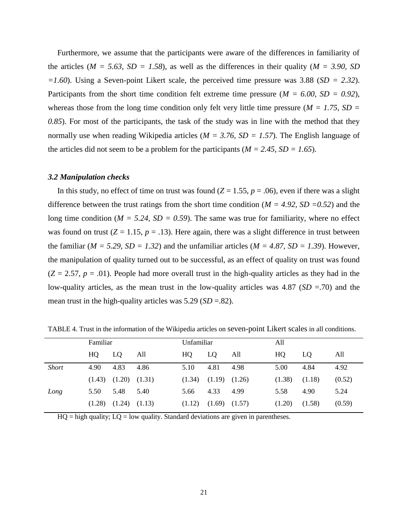Furthermore, we assume that the participants were aware of the differences in familiarity of the articles ( $M = 5.63$ ,  $SD = 1.58$ ), as well as the differences in their quality ( $M = 3.90$ , SD *=1.60*). Using a Seven-point Likert scale, the perceived time pressure was 3.88 (*SD = 2.32*). Participants from the short time condition felt extreme time pressure  $(M = 6.00, SD = 0.92)$ , whereas those from the long time condition only felt very little time pressure ( $M = 1.75$ ,  $SD =$ *0.85*). For most of the participants, the task of the study was in line with the method that they normally use when reading Wikipedia articles (*M = 3.76, SD = 1.57*). The English language of the articles did not seem to be a problem for the participants ( $M = 2.45$ ,  $SD = 1.65$ ).

#### *3.2 Manipulation checks*

In this study, no effect of time on trust was found  $(Z = 1.55, p = .06)$ , even if there was a slight difference between the trust ratings from the short time condition ( $M = 4.92$ ,  $SD = 0.52$ ) and the long time condition ( $M = 5.24$ ,  $SD = 0.59$ ). The same was true for familiarity, where no effect was found on trust  $(Z = 1.15, p = .13)$ . Here again, there was a slight difference in trust between the familiar ( $M = 5.29$ ,  $SD = 1.32$ ) and the unfamiliar articles ( $M = 4.87$ ,  $SD = 1.39$ ). However, the manipulation of quality turned out to be successful, as an effect of quality on trust was found  $(Z = 2.57, p = .01)$ . People had more overall trust in the high-quality articles as they had in the low-quality articles, as the mean trust in the low-quality articles was 4.87 (*SD* =.70) and the mean trust in the high-quality articles was  $5.29$  (*SD* = .82).

|              | Familiar |                   | Unfamiliar |        | All               |      |        |        |        |
|--------------|----------|-------------------|------------|--------|-------------------|------|--------|--------|--------|
|              | HQ.      | LQ                | All        | HQ     | LO                | All  | HQ     | LO     | All    |
| <b>Short</b> | 4.90     | 4.83              | 4.86       | 5.10   | 4.81              | 4.98 | 5.00   | 4.84   | 4.92   |
|              | (1.43)   | $(1.20)$ $(1.31)$ |            | (1.34) | $(1.19)$ $(1.26)$ |      | (1.38) | (1.18) | (0.52) |
| Long         | 5.50     | 5.48              | 5.40       | 5.66   | 4.33              | 4.99 | 5.58   | 4.90   | 5.24   |
|              | (1.28)   | $(1.24)$ $(1.13)$ |            | (1.12) | $(1.69)$ $(1.57)$ |      | (1.20) | (1.58) | (0.59) |

TABLE 4. Trust in the information of the Wikipedia articles on seven-point Likert scales in all conditions.

 $HO = high$  quality;  $LO = low$  quality. Standard deviations are given in parentheses.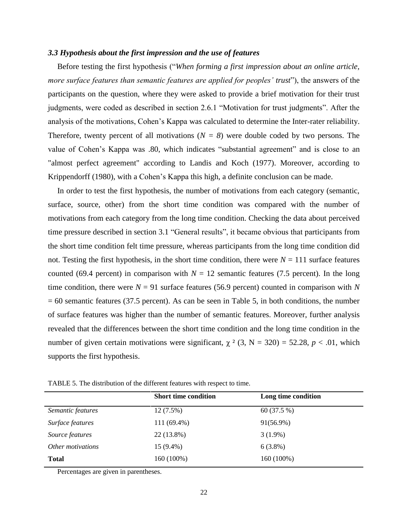#### *3.3 Hypothesis about the first impression and the use of features*

Before testing the first hypothesis ("*When forming a first impression about an online article, more surface features than semantic features are applied for peoples' trust*"), the answers of the participants on the question, where they were asked to provide a brief motivation for their trust judgments, were coded as described in section 2.6.1 "Motivation for trust judgments". After the analysis of the motivations, Cohen's Kappa was calculated to determine the Inter-rater reliability. Therefore, twenty percent of all motivations  $(N = 8)$  were double coded by two persons. The value of Cohen's Kappa was .80, which indicates "substantial agreement" and is close to an "almost perfect agreement" according to Landis and Koch (1977). Moreover, according to Krippendorff (1980), with a Cohen's Kappa this high, a definite conclusion can be made.

In order to test the first hypothesis, the number of motivations from each category (semantic, surface, source, other) from the short time condition was compared with the number of motivations from each category from the long time condition. Checking the data about perceived time pressure described in section 3.1 "General results", it became obvious that participants from the short time condition felt time pressure, whereas participants from the long time condition did not. Testing the first hypothesis, in the short time condition, there were  $N = 111$  surface features counted (69.4 percent) in comparison with  $N = 12$  semantic features (7.5 percent). In the long time condition, there were  $N = 91$  surface features (56.9 percent) counted in comparison with N  $= 60$  semantic features (37.5 percent). As can be seen in Table 5, in both conditions, the number of surface features was higher than the number of semantic features. Moreover, further analysis revealed that the differences between the short time condition and the long time condition in the number of given certain motivations were significant,  $\chi^2$  (3, N = 320) = 52.28, *p* < .01, which supports the first hypothesis.

TABLE 5. The distribution of the different features with respect to time.

|                   | <b>Short time condition</b> | Long time condition |
|-------------------|-----------------------------|---------------------|
| Semantic features | $12(7.5\%)$                 | 60 (37.5 %)         |
| Surface features  | 111 (69.4%)                 | 91(56.9%)           |
| Source features   | 22 (13.8%)                  | $3(1.9\%)$          |
| Other motivations | 15 (9.4%)                   | $6(3.8\%)$          |
| <b>Total</b>      | 160 (100%)                  | 160 (100%)          |

Percentages are given in parentheses.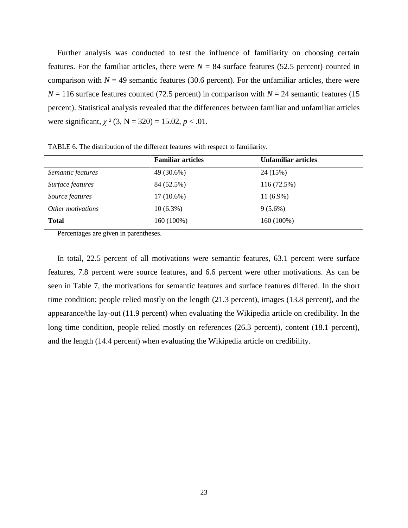Further analysis was conducted to test the influence of familiarity on choosing certain features. For the familiar articles, there were  $N = 84$  surface features (52.5 percent) counted in comparison with  $N = 49$  semantic features (30.6 percent). For the unfamiliar articles, there were  $N = 116$  surface features counted (72.5 percent) in comparison with  $N = 24$  semantic features (15 percent). Statistical analysis revealed that the differences between familiar and unfamiliar articles were significant,  $\chi^2$  (3, N = 320) = 15.02, *p* < .01.

**Familiar articles Unfamiliar articles** *Semantic features* 49 (30.6%) 24 (15%) *Surface features* 84 (52.5%) 116 (72.5%) *Source features* 17 (10.6%) 11 (6.9%) *Other motivations* 10 (6.3%) 9 (5.6%) **Total** 160 (100%) 160 (100%)

TABLE 6. The distribution of the different features with respect to familiarity.

Percentages are given in parentheses.

In total, 22.5 percent of all motivations were semantic features, 63.1 percent were surface features, 7.8 percent were source features, and 6.6 percent were other motivations. As can be seen in Table 7, the motivations for semantic features and surface features differed. In the short time condition; people relied mostly on the length (21.3 percent), images (13.8 percent), and the appearance/the lay-out (11.9 percent) when evaluating the Wikipedia article on credibility. In the long time condition, people relied mostly on references (26.3 percent), content (18.1 percent), and the length (14.4 percent) when evaluating the Wikipedia article on credibility.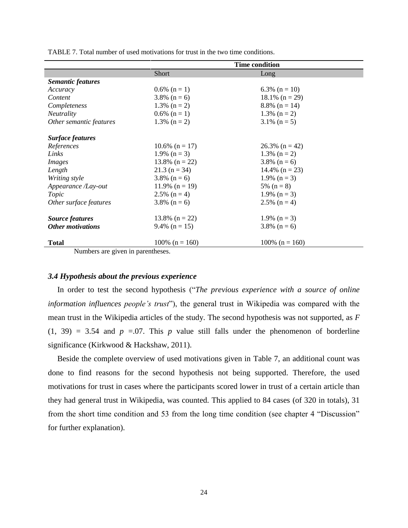|                                                | <b>Time condition</b> |                    |  |
|------------------------------------------------|-----------------------|--------------------|--|
|                                                | Short                 | Long               |  |
| <b>Semantic features</b>                       |                       |                    |  |
| Accuracy                                       | $0.6\%$ (n = 1)       | 6.3% ( $n = 10$ )  |  |
| Content                                        | $3.8\%$ (n = 6)       | $18.1\%$ (n = 29)  |  |
| Completeness                                   | 1.3% $(n = 2)$        | $8.8\%$ (n = 14)   |  |
| <b>Neutrality</b>                              | $0.6\%$ (n = 1)       | 1.3% $(n = 2)$     |  |
| Other semantic features                        | 1.3% $(n = 2)$        | $3.1\%$ (n = 5)    |  |
| <b>Surface features</b>                        |                       |                    |  |
| References                                     | 10.6% $(n = 17)$      | $26.3\%$ (n = 42)  |  |
| Links                                          | 1.9% $(n = 3)$        | 1.3% $(n = 2)$     |  |
| <i>Images</i>                                  | $13.8\%$ (n = 22)     | $3.8\%$ (n = 6)    |  |
| Length                                         | $21.3$ (n = 34)       | 14.4% $(n = 23)$   |  |
| Writing style                                  | $3.8\%$ (n = 6)       | 1.9% $(n = 3)$     |  |
| Appearance /Lay-out                            | $11.9\%$ (n = 19)     | 5% $(n = 8)$       |  |
| Topic                                          | 2.5% $(n = 4)$        | 1.9% $(n = 3)$     |  |
| Other surface features                         | $3.8\%$ (n = 6)       | 2.5% $(n = 4)$     |  |
| <b>Source features</b>                         | $13.8\%$ (n = 22)     | 1.9% $(n = 3)$     |  |
| <b>Other motivations</b>                       | 9.4% $(n = 15)$       | $3.8\%$ (n = 6)    |  |
| <b>Total</b><br>Mundo and one office in nonon- | $100\%$ (n = 160)     | 100% ( $n = 160$ ) |  |

TABLE 7. Total number of used motivations for trust in the two time conditions.

Numbers are given in parentheses.

#### *3.4 Hypothesis about the previous experience*

In order to test the second hypothesis ("*The previous experience with a source of online information influences people's trust*"), the general trust in Wikipedia was compared with the mean trust in the Wikipedia articles of the study. The second hypothesis was not supported, as *F*  $(1, 39) = 3.54$  and  $p = 0.07$ . This p value still falls under the phenomenon of borderline significance (Kirkwood & Hackshaw, 2011).

Beside the complete overview of used motivations given in Table 7, an additional count was done to find reasons for the second hypothesis not being supported. Therefore, the used motivations for trust in cases where the participants scored lower in trust of a certain article than they had general trust in Wikipedia, was counted. This applied to 84 cases (of 320 in totals), 31 from the short time condition and 53 from the long time condition (see chapter 4 "Discussion" for further explanation).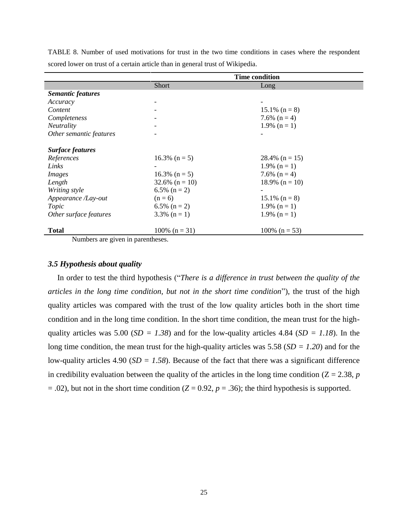|                                                 | <b>Time condition</b>        |                   |  |
|-------------------------------------------------|------------------------------|-------------------|--|
|                                                 | <b>Short</b>                 | Long              |  |
| <b>Semantic features</b>                        |                              |                   |  |
| Accuracy                                        |                              |                   |  |
| Content                                         |                              | $15.1\%$ (n = 8)  |  |
| Completeness                                    |                              | 7.6% $(n = 4)$    |  |
| <b>Neutrality</b>                               |                              | 1.9% $(n = 1)$    |  |
| Other semantic features                         |                              |                   |  |
| <b>Surface features</b>                         |                              |                   |  |
| References                                      | $16.3\%$ (n = 5)             | 28.4% $(n = 15)$  |  |
| Links                                           |                              | 1.9% $(n = 1)$    |  |
| <i>Images</i>                                   | $16.3\%$ (n = 5)             | 7.6% $(n = 4)$    |  |
| Length                                          | $32.6\%$ (n = 10)            | $18.9\%$ (n = 10) |  |
| Writing style                                   | 6.5% $(n = 2)$               |                   |  |
| Appearance /Lay-out                             | $(n = 6)$                    | $15.1\%$ (n = 8)  |  |
| Topic                                           | 6.5% $(n = 2)$               | 1.9% $(n = 1)$    |  |
| Other surface features                          | $3.3\%$ (n = 1)              | 1.9% $(n = 1)$    |  |
| <b>Total</b><br>$\sim$ $\sim$<br>$\mathbf{M}$ 1 | 100% $(n = 31)$<br>$\cdot$ 1 | 100% ( $n = 53$ ) |  |

TABLE 8. Number of used motivations for trust in the two time conditions in cases where the respondent scored lower on trust of a certain article than in general trust of Wikipedia.

Numbers are given in parentheses.

# *3.5 Hypothesis about quality*

In order to test the third hypothesis ("*There is a difference in trust between the quality of the articles in the long time condition, but not in the short time condition*"), the trust of the high quality articles was compared with the trust of the low quality articles both in the short time condition and in the long time condition. In the short time condition, the mean trust for the highquality articles was 5.00 ( $SD = 1.38$ ) and for the low-quality articles 4.84 ( $SD = 1.18$ ). In the long time condition, the mean trust for the high-quality articles was 5.58 (*SD = 1.20*) and for the low-quality articles 4.90 (*SD = 1.58*). Because of the fact that there was a significant difference in credibility evaluation between the quality of the articles in the long time condition  $(Z = 2.38, p$  $= .02$ ), but not in the short time condition ( $Z = 0.92$ ,  $p = .36$ ); the third hypothesis is supported.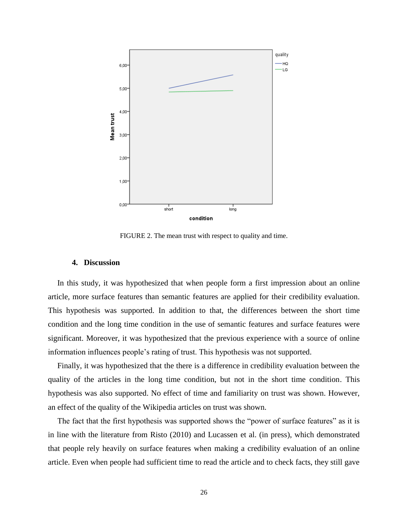

FIGURE 2. The mean trust with respect to quality and time.

#### **4. Discussion**

In this study, it was hypothesized that when people form a first impression about an online article, more surface features than semantic features are applied for their credibility evaluation. This hypothesis was supported. In addition to that, the differences between the short time condition and the long time condition in the use of semantic features and surface features were significant. Moreover, it was hypothesized that the previous experience with a source of online information influences people's rating of trust. This hypothesis was not supported.

Finally, it was hypothesized that the there is a difference in credibility evaluation between the quality of the articles in the long time condition, but not in the short time condition. This hypothesis was also supported. No effect of time and familiarity on trust was shown. However, an effect of the quality of the Wikipedia articles on trust was shown.

The fact that the first hypothesis was supported shows the "power of surface features" as it is in line with the literature from Risto (2010) and Lucassen et al. (in press), which demonstrated that people rely heavily on surface features when making a credibility evaluation of an online article. Even when people had sufficient time to read the article and to check facts, they still gave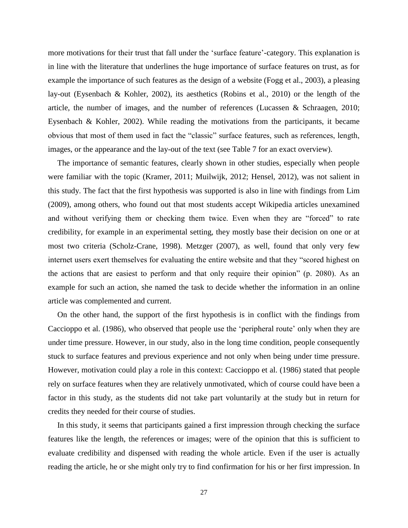more motivations for their trust that fall under the 'surface feature'-category. This explanation is in line with the literature that underlines the huge importance of surface features on trust, as for example the importance of such features as the design of a website (Fogg et al., 2003), a pleasing lay-out (Eysenbach & Kohler, 2002), its aesthetics (Robins et al., 2010) or the length of the article, the number of images, and the number of references (Lucassen & Schraagen, 2010; Eysenbach & Kohler, 2002). While reading the motivations from the participants, it became obvious that most of them used in fact the "classic" surface features, such as references, length, images, or the appearance and the lay-out of the text (see Table 7 for an exact overview).

The importance of semantic features, clearly shown in other studies, especially when people were familiar with the topic (Kramer, 2011; Muilwijk, 2012; Hensel, 2012), was not salient in this study. The fact that the first hypothesis was supported is also in line with findings from Lim (2009), among others, who found out that most students accept Wikipedia articles unexamined and without verifying them or checking them twice. Even when they are "forced" to rate credibility, for example in an experimental setting, they mostly base their decision on one or at most two criteria (Scholz-Crane, 1998). Metzger (2007), as well, found that only very few internet users exert themselves for evaluating the entire website and that they "scored highest on the actions that are easiest to perform and that only require their opinion" (p. 2080). As an example for such an action, she named the task to decide whether the information in an online article was complemented and current.

On the other hand, the support of the first hypothesis is in conflict with the findings from Caccioppo et al. (1986), who observed that people use the 'peripheral route' only when they are under time pressure. However, in our study, also in the long time condition, people consequently stuck to surface features and previous experience and not only when being under time pressure. However, motivation could play a role in this context: Caccioppo et al. (1986) stated that people rely on surface features when they are relatively unmotivated, which of course could have been a factor in this study, as the students did not take part voluntarily at the study but in return for credits they needed for their course of studies.

In this study, it seems that participants gained a first impression through checking the surface features like the length, the references or images; were of the opinion that this is sufficient to evaluate credibility and dispensed with reading the whole article. Even if the user is actually reading the article, he or she might only try to find confirmation for his or her first impression. In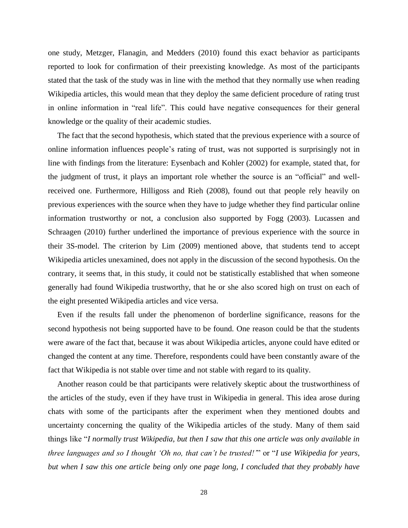one study, Metzger, Flanagin, and Medders (2010) found this exact behavior as participants reported to look for confirmation of their preexisting knowledge. As most of the participants stated that the task of the study was in line with the method that they normally use when reading Wikipedia articles, this would mean that they deploy the same deficient procedure of rating trust in online information in "real life". This could have negative consequences for their general knowledge or the quality of their academic studies.

The fact that the second hypothesis, which stated that the previous experience with a source of online information influences people's rating of trust, was not supported is surprisingly not in line with findings from the literature: Eysenbach and Kohler (2002) for example, stated that, for the judgment of trust, it plays an important role whether the source is an "official" and wellreceived one. Furthermore, Hilligoss and Rieh (2008), found out that people rely heavily on previous experiences with the source when they have to judge whether they find particular online information trustworthy or not, a conclusion also supported by Fogg (2003). Lucassen and Schraagen (2010) further underlined the importance of previous experience with the source in their 3S-model. The criterion by Lim (2009) mentioned above, that students tend to accept Wikipedia articles unexamined, does not apply in the discussion of the second hypothesis. On the contrary, it seems that, in this study, it could not be statistically established that when someone generally had found Wikipedia trustworthy, that he or she also scored high on trust on each of the eight presented Wikipedia articles and vice versa.

Even if the results fall under the phenomenon of borderline significance, reasons for the second hypothesis not being supported have to be found. One reason could be that the students were aware of the fact that, because it was about Wikipedia articles, anyone could have edited or changed the content at any time. Therefore, respondents could have been constantly aware of the fact that Wikipedia is not stable over time and not stable with regard to its quality.

Another reason could be that participants were relatively skeptic about the trustworthiness of the articles of the study, even if they have trust in Wikipedia in general. This idea arose during chats with some of the participants after the experiment when they mentioned doubts and uncertainty concerning the quality of the Wikipedia articles of the study. Many of them said things like "*I normally trust Wikipedia, but then I saw that this one article was only available in three languages and so I thought 'Oh no, that can't be trusted!'*" or "*I use Wikipedia for years, but when I saw this one article being only one page long, I concluded that they probably have*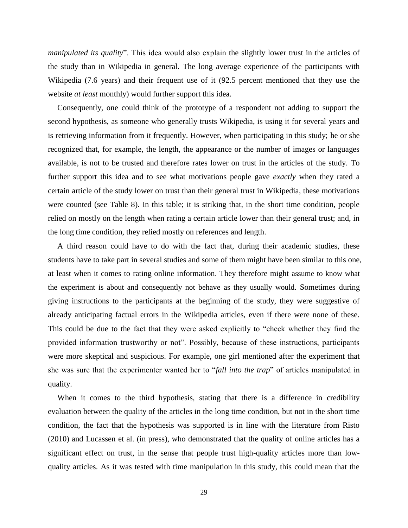*manipulated its quality*". This idea would also explain the slightly lower trust in the articles of the study than in Wikipedia in general. The long average experience of the participants with Wikipedia (7.6 years) and their frequent use of it (92.5 percent mentioned that they use the website *at least* monthly) would further support this idea.

Consequently, one could think of the prototype of a respondent not adding to support the second hypothesis, as someone who generally trusts Wikipedia, is using it for several years and is retrieving information from it frequently. However, when participating in this study; he or she recognized that, for example, the length, the appearance or the number of images or languages available, is not to be trusted and therefore rates lower on trust in the articles of the study. To further support this idea and to see what motivations people gave *exactly* when they rated a certain article of the study lower on trust than their general trust in Wikipedia, these motivations were counted (see Table 8). In this table; it is striking that, in the short time condition, people relied on mostly on the length when rating a certain article lower than their general trust; and, in the long time condition, they relied mostly on references and length.

A third reason could have to do with the fact that, during their academic studies, these students have to take part in several studies and some of them might have been similar to this one, at least when it comes to rating online information. They therefore might assume to know what the experiment is about and consequently not behave as they usually would. Sometimes during giving instructions to the participants at the beginning of the study, they were suggestive of already anticipating factual errors in the Wikipedia articles, even if there were none of these. This could be due to the fact that they were asked explicitly to "check whether they find the provided information trustworthy or not". Possibly, because of these instructions, participants were more skeptical and suspicious. For example, one girl mentioned after the experiment that she was sure that the experimenter wanted her to "*fall into the trap*" of articles manipulated in quality.

When it comes to the third hypothesis, stating that there is a difference in credibility evaluation between the quality of the articles in the long time condition, but not in the short time condition, the fact that the hypothesis was supported is in line with the literature from Risto (2010) and Lucassen et al. (in press), who demonstrated that the quality of online articles has a significant effect on trust, in the sense that people trust high-quality articles more than lowquality articles. As it was tested with time manipulation in this study, this could mean that the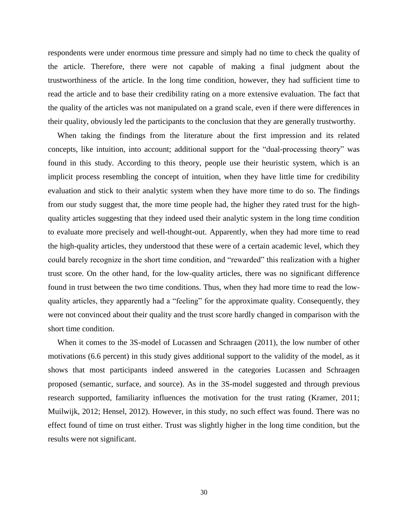respondents were under enormous time pressure and simply had no time to check the quality of the article. Therefore, there were not capable of making a final judgment about the trustworthiness of the article. In the long time condition, however, they had sufficient time to read the article and to base their credibility rating on a more extensive evaluation. The fact that the quality of the articles was not manipulated on a grand scale, even if there were differences in their quality, obviously led the participants to the conclusion that they are generally trustworthy.

When taking the findings from the literature about the first impression and its related concepts, like intuition, into account; additional support for the "dual-processing theory" was found in this study. According to this theory, people use their heuristic system, which is an implicit process resembling the concept of intuition, when they have little time for credibility evaluation and stick to their analytic system when they have more time to do so. The findings from our study suggest that, the more time people had, the higher they rated trust for the highquality articles suggesting that they indeed used their analytic system in the long time condition to evaluate more precisely and well-thought-out. Apparently, when they had more time to read the high-quality articles, they understood that these were of a certain academic level, which they could barely recognize in the short time condition, and "rewarded" this realization with a higher trust score. On the other hand, for the low-quality articles, there was no significant difference found in trust between the two time conditions. Thus, when they had more time to read the lowquality articles, they apparently had a "feeling" for the approximate quality. Consequently, they were not convinced about their quality and the trust score hardly changed in comparison with the short time condition.

When it comes to the 3S-model of Lucassen and Schraagen (2011), the low number of other motivations (6.6 percent) in this study gives additional support to the validity of the model, as it shows that most participants indeed answered in the categories Lucassen and Schraagen proposed (semantic, surface, and source). As in the 3S-model suggested and through previous research supported, familiarity influences the motivation for the trust rating (Kramer, 2011; Muilwijk, 2012; Hensel, 2012). However, in this study, no such effect was found. There was no effect found of time on trust either. Trust was slightly higher in the long time condition, but the results were not significant.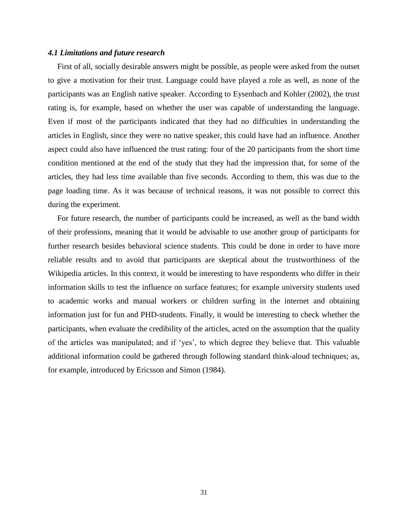#### *4.1 Limitations and future research*

First of all, socially desirable answers might be possible, as people were asked from the outset to give a motivation for their trust. Language could have played a role as well, as none of the participants was an English native speaker. According to Eysenbach and Kohler (2002), the trust rating is, for example, based on whether the user was capable of understanding the language. Even if most of the participants indicated that they had no difficulties in understanding the articles in English, since they were no native speaker, this could have had an influence. Another aspect could also have influenced the trust rating: four of the 20 participants from the short time condition mentioned at the end of the study that they had the impression that, for some of the articles, they had less time available than five seconds. According to them, this was due to the page loading time. As it was because of technical reasons, it was not possible to correct this during the experiment.

For future research, the number of participants could be increased, as well as the band width of their professions, meaning that it would be advisable to use another group of participants for further research besides behavioral science students. This could be done in order to have more reliable results and to avoid that participants are skeptical about the trustworthiness of the Wikipedia articles. In this context, it would be interesting to have respondents who differ in their information skills to test the influence on surface features; for example university students used to academic works and manual workers or children surfing in the internet and obtaining information just for fun and PHD-students. Finally, it would be interesting to check whether the participants, when evaluate the credibility of the articles, acted on the assumption that the quality of the articles was manipulated; and if 'yes', to which degree they believe that. This valuable additional information could be gathered through following standard think-aloud techniques; as, for example, introduced by Ericsson and Simon (1984).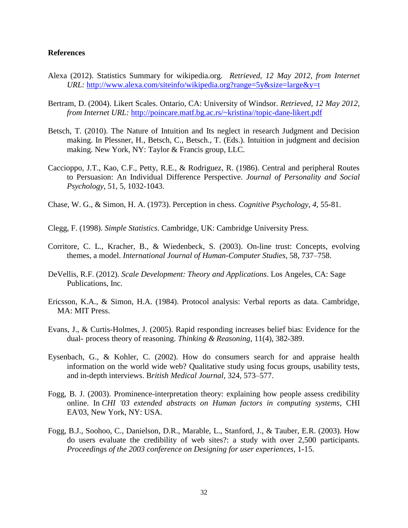## **References**

- Alexa (2012). Statistics Summary for wikipedia.org. *Retrieved, 12 May 2012, from Internet URL:* <http://www.alexa.com/siteinfo/wikipedia.org?range=5y&size=large&y=t>
- Bertram, D. (2004). Likert Scales. Ontario, CA: University of Windsor. *Retrieved, 12 May 2012, from Internet URL:* [http://poincare.matf.bg.ac.rs/~kristina//topic-dane-likert.pdf](http://poincare.matf.bg.ac.rs/~kristina/topic-dane-likert.pdf)
- Betsch, T. (2010). The Nature of Intuition and Its neglect in research Judgment and Decision making. In Plessner, H., Betsch, C., Betsch., T. (Eds.). Intuition in judgment and decision making. New York, NY: Taylor & Francis group, LLC.
- Caccioppo, J.T., Kao, C.F., Petty, R.E., & Rodriguez, R. (1986). Central and peripheral Routes to Persuasion: An Individual Difference Perspective. *Journal of Personality and Social Psychology*, 51, 5, 1032-1043.
- Chase, W. G., & Simon, H. A. (1973). Perception in chess. *Cognitive Psychology*, *4*, 55-81.
- Clegg, F. (1998). *Simple Statistics*. Cambridge, UK: Cambridge University Press.
- Corritore, C. L., Kracher, B., & Wiedenbeck, S. (2003). On-line trust: Concepts, evolving themes, a model. *International Journal of Human-Computer Studies*, 58, 737–758.
- DeVellis, R.F. (2012). *Scale Development: Theory and Applications*. Los Angeles, CA: Sage Publications, Inc.
- Ericsson, K.A., & Simon, H.A. (1984). Protocol analysis: Verbal reports as data. Cambridge, MA: MIT Press.
- Evans, J., & Curtis-Holmes, J. (2005). Rapid responding increases belief bias: Evidence for the dual- process theory of reasoning. *Thinking & Reasoning*, 11(4), 382-389.
- Eysenbach, G., & Kohler, C. (2002). How do consumers search for and appraise health information on the world wide web? Qualitative study using focus groups, usability tests, and in-depth interviews. B*ritish Medical Journal*, 324, 573–577.
- Fogg, B. J. (2003). Prominence-interpretation theory: explaining how people assess credibility online. In *CHI '03 extended abstracts on Human factors in computing systems*, CHI EA'03, New York, NY: USA.
- Fogg, B.J., Soohoo, C., Danielson, D.R., Marable, L., Stanford, J., & Tauber, E.R. (2003). How do users evaluate the credibility of web sites?: a study with over 2,500 participants. *Proceedings of the 2003 conference on Designing for user experiences*, 1-15.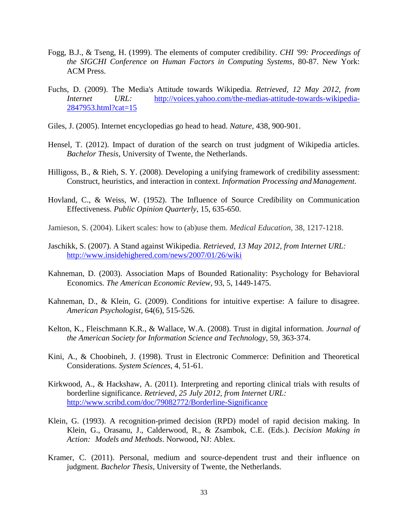- Fogg, B.J., & Tseng, H. (1999). The elements of computer credibility. *CHI '99: Proceedings of the SIGCHI Conference on Human Factors in Computing Systems*, 80-87. New York: ACM Press.
- Fuchs, D. (2009). The Media's Attitude towards Wikipedia. *Retrieved, 12 May 2012, from Internet URL:* [http://voices.yahoo.com/the-medias-attitude-towards-wikipedia-](http://voices.yahoo.com/the-medias-attitude-towards-wikipedia-%092847953.html?cat=15)[2847953.html?cat=15](http://voices.yahoo.com/the-medias-attitude-towards-wikipedia-%092847953.html?cat=15)
- Giles, J. (2005). Internet encyclopedias go head to head. *Nature*, 438, 900-901.
- Hensel, T. (2012). Impact of duration of the search on trust judgment of Wikipedia articles. *Bachelor Thesis,* University of Twente, the Netherlands.
- Hilligoss, B., & Rieh, S. Y. (2008). Developing a unifying framework of credibility assessment: Construct, heuristics, and interaction in context. *Information Processing andManagement*.
- Hovland, C., & Weiss, W. (1952). The Influence of Source Credibility on Communication Effectiveness. *Public Opinion Quarterly*, 15, 635-650.
- Jamieson, S. (2004). Likert scales: how to (ab)use them. *Medical Education,* 38, 1217-1218.
- Jaschikk, S. (2007). A Stand against Wikipedia. *Retrieved, 13 May 2012, from Internet URL:* <http://www.insidehighered.com/news/2007/01/26/wiki>
- Kahneman, D. (2003). Association Maps of Bounded Rationality: Psychology for Behavioral Economics. *The American Economic Review*, 93, 5, 1449-1475.
- Kahneman, D., & Klein, G. (2009). Conditions for intuitive expertise: A failure to disagree. *American Psychologist*, 64(6), 515-526.
- Kelton, K., Fleischmann K.R., & Wallace, W.A. (2008). Trust in digital information. *Journal of the American Society for Information Science and Technology*, 59, 363-374.
- Kini, A., & Choobineh, J. (1998). Trust in Electronic Commerce: Definition and Theoretical Considerations. *System Sciences*, 4, 51-61.
- Kirkwood, A., & Hackshaw, A. (2011). Interpreting and reporting clinical trials with results of borderline significance. *Retrieved, 25 July 2012, from Internet URL:* <http://www.scribd.com/doc/79082772/Borderline-Significance>
- Klein, G. (1993). A recognition-primed decision (RPD) model of rapid decision making. In Klein, G., Orasanu, J., Calderwood, R., & Zsambok, C.E. (Eds.). *Decision Making in Action: Models and Methods*. Norwood, NJ: Ablex.
- Kramer, C. (2011). Personal, medium and source-dependent trust and their influence on judgment. *Bachelor Thesis,* University of Twente, the Netherlands.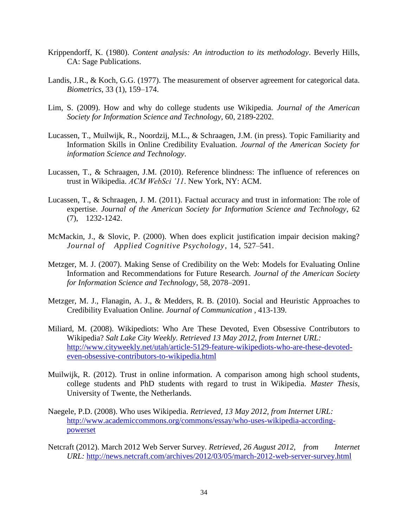- Krippendorff, K. (1980). *Content analysis: An introduction to its methodology*. Beverly Hills, CA: Sage Publications.
- Landis, J.R., & Koch, G.G. (1977). The measurement of observer agreement for categorical data. *Biometrics*, 33 (1), 159–174.
- Lim, S. (2009). How and why do college students use Wikipedia. *Journal of the American Society for Information Science and Technology,* 60, 2189-2202.
- Lucassen, T., Muilwijk, R., Noordzij, M.L., & Schraagen, J.M. (in press). Topic Familiarity and Information Skills in Online Credibility Evaluation. *Journal of the American Society for information Science and Technology*.
- Lucassen, T., & Schraagen, J.M. (2010). Reference blindness: The influence of references on trust in Wikipedia. *ACM WebSci '11*. New York, NY: ACM.
- Lucassen, T., & Schraagen, J. M. (2011). [Factual accuracy and trust in information: The role of](http://doc.utwente.nl/77656/) [expertise.](http://doc.utwente.nl/77656/) *Journal of the American Society for Information Science and Technology*, 62 (7), 1232-1242.
- McMackin, J., & Slovic, P. (2000). When does explicit justification impair decision making? *Journal of Applied Cognitive Psychology*, 14, 527–541.
- Metzger, M. J. (2007). Making Sense of Credibility on the Web: Models for Evaluating Online Information and Recommendations for Future Research. *Journal of the American Society for Information Science and Technology*, 58, 2078–2091.
- Metzger, M. J., Flanagin, A. J., & Medders, R. B. (2010). Social and Heuristic Approaches to Credibility Evaluation Online. *Journal of Communication* , 413-139.
- Miliard, M. (2008). [Wikipediots: Who Are These Devoted, Even Obsessive Contributors to](http://www.cityweekly.net/utah/article-5129-feature-wikipediots-who-are-these-devoted-even-obsessive-contributors-to-wikipedia.html) Wikipedia? *[Salt Lake City Weekly.](http://www.cityweekly.net/utah/article-5129-feature-wikipediots-who-are-these-devoted-even-obsessive-contributors-to-wikipedia.html) Retrieved 13 May 2012, from Internet URL:* [http://www.cityweekly.net/utah/article-5129-feature-wikipediots-who-are-these-devoted](http://www.cityweekly.net/utah/article-5129-feature-wikipediots-who-are-these-devoted-even-obsessive-contributors-to-wikipedia.html)[even-obsessive-contributors-to-wikipedia.html](http://www.cityweekly.net/utah/article-5129-feature-wikipediots-who-are-these-devoted-even-obsessive-contributors-to-wikipedia.html)
- Muilwijk, R. (2012). Trust in online information. A comparison among high school students, college students and PhD students with regard to trust in Wikipedia. *Master Thesis,* University of Twente, the Netherlands.
- Naegele, P.D. (2008). Who uses Wikipedia. *Retrieved, 13 May 2012, from Internet URL:* [http://www.academiccommons.org/commons/essay/who-uses-wikipedia-according](http://www.academiccommons.org/commons/essay/who-uses-wikipedia-according-powerset)[powerset](http://www.academiccommons.org/commons/essay/who-uses-wikipedia-according-powerset)
- Netcraft (2012). March 2012 Web Server Survey. *Retrieved, 26 August 2012, from Internet URL:* <http://news.netcraft.com/archives/2012/03/05/march-2012-web-server-survey.html>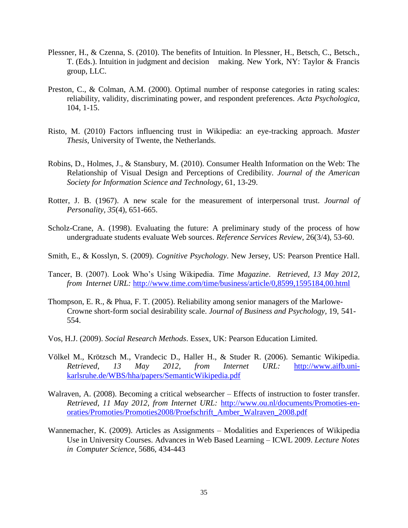- Plessner, H., & Czenna, S. (2010). The benefits of Intuition. In Plessner, H., Betsch, C., Betsch., T. (Eds.). Intuition in judgment and decision making. New York, NY: Taylor & Francis group, LLC.
- Preston, C., & Colman, A.M. (2000). Optimal number of response categories in rating scales: reliability, validity, discriminating power, and respondent preferences. *Acta Psychologica*, 104, 1-15.
- Risto, M. (2010) Factors influencing trust in Wikipedia: an eye-tracking approach. *Master Thesis,* University of Twente, the Netherlands.
- Robins, D., Holmes, J., & Stansbury, M. (2010). Consumer Health Information on the Web: The Relationship of Visual Design and Perceptions of Credibility. *Journal of the American Society for Information Science and Technology*, 61, 13-29.
- Rotter, J. B. (1967). A new scale for the measurement of interpersonal trust. *Journal of Personality, 35*(4), 651-665.
- Scholz-Crane, A. (1998). Evaluating the future: A preliminary study of the process of how undergraduate students evaluate Web sources. *Reference Services Review,* 26(3/4), 53-60.
- Smith, E., & Kosslyn, S. (2009). *Cognitive Psychology*. New Jersey, US: Pearson Prentice Hall.
- Tancer, B. (2007). Look Who's Using Wikipedia. *Time Magazine*. *Retrieved, 13 May 2012, from Internet URL:* <http://www.time.com/time/business/article/0,8599,1595184,00.html>
- Thompson, E. R., & Phua, F. T. (2005). Reliability among senior managers of the Marlowe-Crowne short-form social desirability scale. *Journal of Business and Psychology,* 19, 541- 554.
- Vos, H.J. (2009). *Social Research Methods*. Essex, UK: Pearson Education Limited.
- Völkel M., Krötzsch M., Vrandecic D., Haller H., & Studer R. (2006). Semantic Wikipedia. *Retrieved, 13 May 2012, from Internet URL:* http://www.aifb.unikarlsruhe.de/WBS/hha/papers/SemanticWikipedia.pdf
- Walraven, A. (2008). Becoming a critical websearcher Effects of instruction to foster transfer. *Retrieved, 11 May 2012, from Internet URL:* [http://www.ou.nl/documents/Promoties-en](http://www.ou.nl/documents/Promoties-en-%09oraties/Promoties/Promoties2008/Proefschrift_Amber_Walraven_2008.pdf)[oraties/Promoties/Promoties2008/Proefschrift\\_Amber\\_Walraven\\_2008.pdf](http://www.ou.nl/documents/Promoties-en-%09oraties/Promoties/Promoties2008/Proefschrift_Amber_Walraven_2008.pdf)
- Wannemacher, K. (2009). Articles as Assignments [Modalities and Experiences of Wikipedia](http://www.springerlink.com/content/c78t734l77303845/)  Use in [University Courses.](http://www.springerlink.com/content/c78t734l77303845/) [Advances in Web Based Learning –](http://www.springerlink.com/content/978-3-642-03425-1/) ICWL 2009. *[Lecture](http://www.springerlink.com/content/0302-9743/) Notes in [Computer Science](http://www.springerlink.com/content/0302-9743/)*, 5686, 434-443